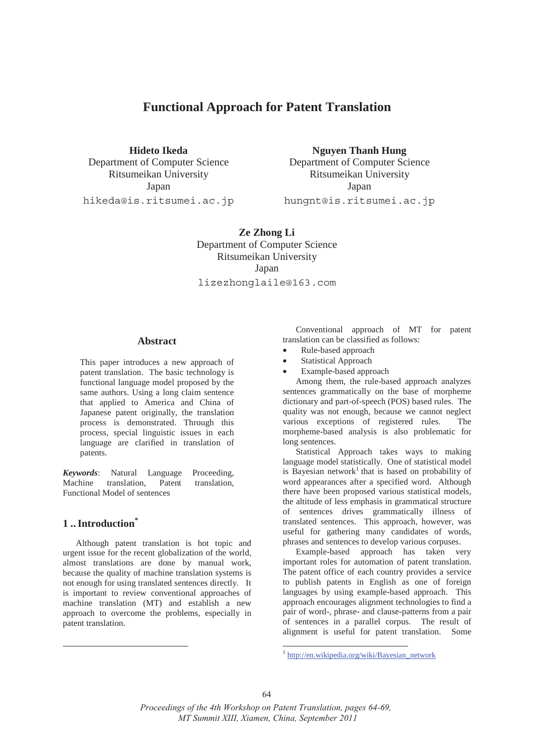# **Functional Approach for Patent Translation**

**Hideto Ikeda** Nguyen Thanh Hung Department of Computer Science Department of Computer Science Ritsumeikan University Ritsumeikan University Japan Japan Japan Japan Japan Japan Japan Japan Japan Japan Japan Japan Japan Japan Japan Japan Japan Japan Japan Japan Japan Japan Japan Japan Japan Japan Japan Japan Japan Japan Japan Japan Japan Japan Japan Japan Japan hikeda@is.ritsumei.ac.jp hungnt@is.ritsumei.ac.jp

> **Ze Zhong Li**  Department of Computer Science Ritsumeikan University Japan

> lizezhonglaile@163.com

# **Abstract**

This paper introduces a new approach of patent translation. The basic technology is functional language model proposed by the same authors. Using a long claim sentence that applied to America and China of Japanese patent originally, the translation process is demonstrated. Through this process, special linguistic issues in each language are clarified in translation of patents.

*Keywords*: Natural Language Proceeding, Machine translation, Patent translation, Functional Model of sentences

# **1 .. Introduction\***

-

Although patent translation is hot topic and urgent issue for the recent globalization of the world, almost translations are done by manual work, because the quality of machine translation systems is not enough for using translated sentences directly. It is important to review conventional approaches of machine translation (MT) and establish a new approach to overcome the problems, especially in patent translation.

Conventional approach of MT for patent translation can be classified as follows:

- Rule-based approach
- Statistical Approach
- Example-based approach

Among them, the rule-based approach analyzes sentences grammatically on the base of morpheme dictionary and part-of-speech (POS) based rules. The quality was not enough, because we cannot neglect various exceptions of registered rules. The morpheme-based analysis is also problematic for long sentences.

Statistical Approach takes ways to making language model statistically. One of statistical model is Bayesian network<sup>1</sup> that is based on probability of word appearances after a specified word. Although there have been proposed various statistical models, the altitude of less emphasis in grammatical structure of sentences drives grammatically illness of translated sentences. This approach, however, was useful for gathering many candidates of words, phrases and sentences to develop various corpuses.

Example-based approach has taken very important roles for automation of patent translation. The patent office of each country provides a service to publish patents in English as one of foreign languages by using example-based approach. This approach encourages alignment technologies to find a pair of word-, phrase- and clause-patterns from a pair of sentences in a parallel corpus. The result of alignment is useful for patent translation. Some

.

http://en.wikipedia.org/wiki/Bayesian\_network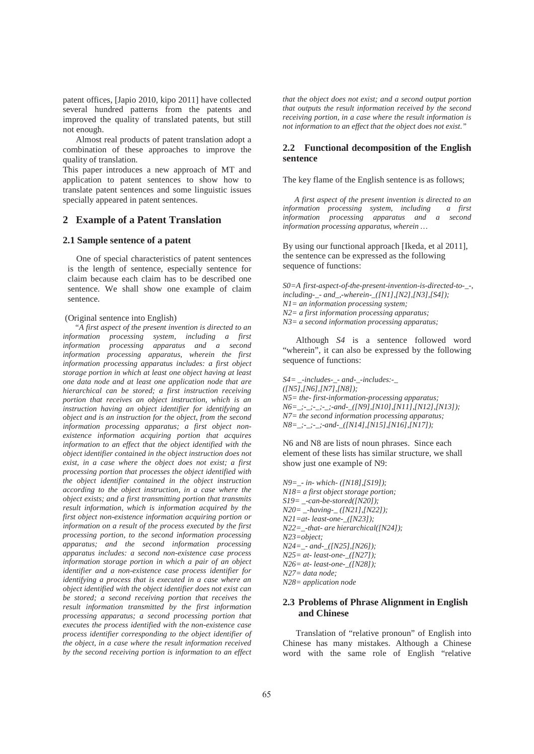patent offices, [Japio 2010, kipo 2011] have collected several hundred patterns from the patents and improved the quality of translated patents, but still not enough.

Almost real products of patent translation adopt a combination of these approaches to improve the quality of translation.

This paper introduces a new approach of MT and application to patent sentences to show how to translate patent sentences and some linguistic issues specially appeared in patent sentences.

## **2 Example of a Patent Translation**

## **2.1 Sample sentence of a patent**

One of special characteristics of patent sentences is the length of sentence, especially sentence for claim because each claim has to be described one sentence. We shall show one example of claim sentence.

#### (Original sentence into English)

*"A first aspect of the present invention is directed to an information processing system, including a first information processing apparatus and a second information processing apparatus, wherein the first information processing apparatus includes: a first object storage portion in which at least one object having at least one data node and at least one application node that are hierarchical can be stored; a first instruction receiving portion that receives an object instruction, which is an instruction having an object identifier for identifying an object and is an instruction for the object, from the second information processing apparatus; a first object nonexistence information acquiring portion that acquires information to an effect that the object identified with the object identifier contained in the object instruction does not exist, in a case where the object does not exist; a first processing portion that processes the object identified with the object identifier contained in the object instruction according to the object instruction, in a case where the object exists; and a first transmitting portion that transmits result information, which is information acquired by the first object non-existence information acquiring portion or information on a result of the process executed by the first processing portion, to the second information processing apparatus; and the second information processing apparatus includes: a second non-existence case process information storage portion in which a pair of an object identifier and a non-existence case process identifier for identifying a process that is executed in a case where an object identified with the object identifier does not exist can be stored; a second receiving portion that receives the result information transmitted by the first information processing apparatus; a second processing portion that executes the process identified with the non-existence case process identifier corresponding to the object identifier of the object, in a case where the result information received by the second receiving portion is information to an effect*  *that the object does not exist; and a second output portion that outputs the result information received by the second receiving portion, in a case where the result information is not information to an effect that the object does not exist."* 

### **2.2 Functional decomposition of the English sentence**

The key flame of the English sentence is as follows;

*A first aspect of the present invention is directed to an information processing system, including a first information processing apparatus and a second information processing apparatus, wherein …*

By using our functional approach [Ikeda, et al 2011], the sentence can be expressed as the following sequence of functions:

*S0=A first-aspect-of-the-present-invention-is-directed-to-\_-, including-\_- and\_,-wherein-\_([N1],[N2],[N3],[S4]); N1= an information processing system; N2= a first information processing apparatus; N3= a second information processing apparatus;* 

Although *S4* is a sentence followed word "wherein", it can also be expressed by the following sequence of functions:

*S4= \_-includes-\_- and-\_-includes:-\_ ([N5],[N6],[N7],[N8]); N5= the- first-information-processing apparatus; N6=\_;-\_;-\_;-\_;-and-\_([N9],[N10],[N11],[N12],[N13]); N7= the second information processing apparatus; N8=\_;-\_;-\_;-and-\_([N14],[N15],[N16],[N17]);* 

N6 and N8 are lists of noun phrases. Since each element of these lists has similar structure, we shall show just one example of N9:

*N9=\_- in- which- ([N18],[S19]); N18= a first object storage portion; S19= \_-can-be-stored([N20]); N20= \_-having-\_ ([N21],[N22]); N21=at- least-one-\_([N23]); N22=\_-that- are hierarchical([N24]); N23=object; N24=\_- and-\_([N25],[N26]); N25= at- least-one-\_([N27]); N26= at- least-one-\_([N28]); N27= data node; N28= application node*

# **2.3 Problems of Phrase Alignment in English and Chinese**

Translation of "relative pronoun" of English into Chinese has many mistakes. Although a Chinese word with the same role of English "relative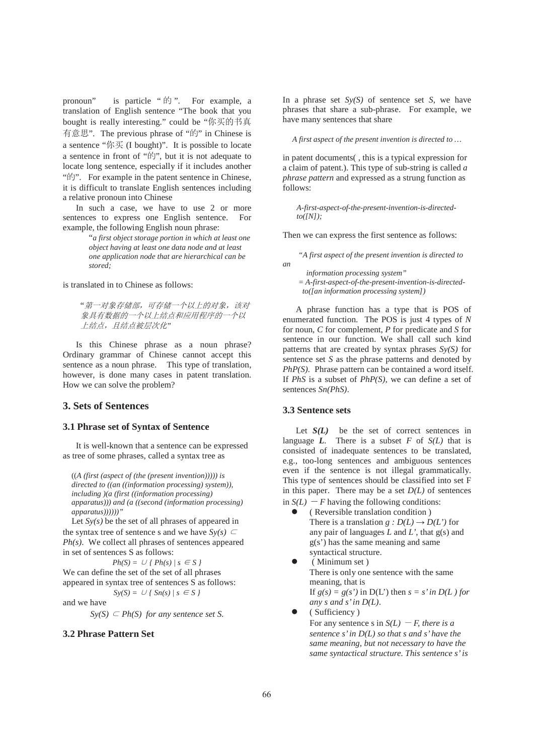pronoun" is particle "的". For example, a translation of English sentence "The book that you bought is really interesting." could be "你买的书真 有意思". The previous phrase of "的" in Chinese is a sentence "你买 (I bought)". It is possible to locate a sentence in front of "的", but it is not adequate to locate long sentence, especially if it includes another "的". For example in the patent sentence in Chinese, it is difficult to translate English sentences including a relative pronoun into Chinese

In such a case, we have to use 2 or more sentences to express one English sentence. For example, the following English noun phrase:

"*a first object storage portion in which at least one object having at least one data node and at least one application node that are hierarchical can be stored;*

is translated in to Chinese as follows:

"第一对象存储部,可存储一个以上的对象,该对 象具有数据的一个以上结点和应用程序的一个以 上结点, 且结点被层次化"

Is this Chinese phrase as a noun phrase? Ordinary grammar of Chinese cannot accept this sentence as a noun phrase. This type of translation, however, is done many cases in patent translation. How we can solve the problem?

# **3. Sets of Sentences**

# **3.1 Phrase set of Syntax of Sentence**

It is well-known that a sentence can be expressed as tree of some phrases, called a syntax tree as

((*A (first (aspect of (the (present invention))))) is directed to ((an ((information processing) system)), including )(a (first ((information processing) apparatus))) and (a ((second (information processing) apparatus))))))"*

Let  $Sy(s)$  be the set of all phrases of appeared in the syntax tree of sentence s and we have  $Sy(s) \subset$ *Ph(s)*. We collect all phrases of sentences appeared in set of sentences S as follows:

 $Ph(S) = \cup \{ Ph(s) / s \in S \}$ We can define the set of the set of all phrases appeared in syntax tree of sentences S as follows:

 $Sy(S) = U / Sn(s) / s \in S$ 

and we have

 $Sy(S) \subseteq Ph(S)$  *for any sentence set S.* 

# **3.2 Phrase Pattern Set**

In a phrase set *Sy(S)* of sentence set *S*, we have phrases that share a sub-phrase. For example, we have many sentences that share

*A first aspect of the present invention is directed to …* 

in patent documents( , this is a typical expression for a claim of patent.). This type of sub-string is called *a phrase pattern* and expressed as a strung function as follows:

*A-first-aspect-of-the-present-invention-is-directedto([N]);* 

Then we can express the first sentence as follows:

*"A first aspect of the present invention is directed to an* 

*information processing system"* 

*= A-first-aspect-of-the-present-invention-is-directedto([an information processing system])* 

A phrase function has a type that is POS of enumerated function. The POS is just 4 types of *N* for noun, *C* for complement, *P* for predicate and *S* for sentence in our function. We shall call such kind patterns that are created by syntax phrases *Sy(S)* for sentence set *S* as the phrase patterns and denoted by *PhP(S).* Phrase pattern can be contained a word itself. If *PhS* is a subset of *PhP(S)*, we can define a set of sentences *Sn(PhS)*.

### **3.3 Sentence sets**

Let  $S(L)$  be the set of correct sentences in language  $\vec{L}$ . There is a subset *F* of *S(L)* that is consisted of inadequate sentences to be translated, e.g., too-long sentences and ambiguous sentences even if the sentence is not illegal grammatically. This type of sentences should be classified into set F in this paper. There may be a set  $D(L)$  of sentences in  $S(L)$  – *F* having the following conditions:

- z ( Reversible translation condition ) There is a translation *g :*  $D(L) \rightarrow D(L')$  for any pair of languages *L* and *L'*, that g(s) and g(s') has the same meaning and same syntactical structure.
- (Minimum set) There is only one sentence with the same meaning, that is If  $g(s) = g(s')$  in D(L') then  $s = s'$  in D(L) for *any s and s' in D(L)*.
- (Sufficiency)

For any sentence s in  $S(L)$  – *F, there is a sentence s' in D(L) so that s and s' have the same meaning, but not necessary to have the same syntactical structure. This sentence s' is*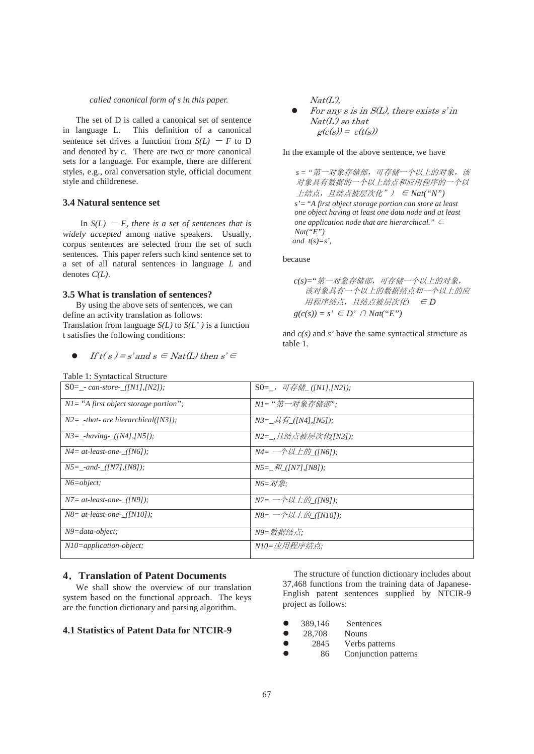#### *called canonical form of s in this paper.*

The set of D is called a canonical set of sentence in language L. This definition of a canonical sentence set drives a function from  $S(L)$  – *F* to D and denoted by *c*. There are two or more canonical sets for a language. For example, there are different styles, e.g., oral conversation style, official document style and childrenese.

### **3.4 Natural sentence set**

In  $S(L)$  – *F*, there is a set of sentences that is *widely accepted* among native speakers. Usually, corpus sentences are selected from the set of such sentences. This paper refers such kind sentence set to a set of all natural sentences in language *L* and denotes *C(L)*.

### **3.5 What is translation of sentences?**

By using the above sets of sentences, we can define an activity translation as follows: Translation from language *S(L)* to *S(L' )* is a function t satisfies the following conditions:

```
If t(s) = s' and s \in Nat(L) then s' \in
```
Table 1: Syntactical Structure

 $Nat(L')$ 

For any s is in  $S(L)$ , there exists s'in  $Nat(L)$  so that  $g(c(s)) = c(t(s))$ 

In the example of the above sentence, we have

s = "第一对象存储部,可存储一个以上的对象,该 对象具有数据的一个以上结点和应用程序的一个以  $\pm \hat{\mathcal{A}}$   $\hat{\mathcal{A}}$ ,  $\hat{H}$   $\hat{\mathcal{A}}$   $\hat{\mathcal{B}}$   $\hat{\mathcal{B}}$   $\hat{\mathcal{C}}$   $\hat{\mathcal{C}}$   $\hat{\mathcal{C}}$   $\hat{\mathcal{C}}$   $\hat{\mathcal{C}}$   $\hat{\mathcal{C}}$   $\hat{\mathcal{C}}$   $\hat{\mathcal{C}}$   $\hat{\mathcal{C}}$   $\hat{\mathcal{C}}$   $\hat{\mathcal{C}}$   $\hat{\mathcal{C}}$   $\hat{\mathcal{C}}$   $\hat{\mathcal{C}}$  *s'=* "*A first object storage portion can store at least one object having at least one data node and at least one application node that are hierarchical.*"  $\epsilon$ *Nat("E") and*  $t(s)=s'$ ,

because

$$
c(s)=\n\begin{array}{ll}\n\ddot{x} &= \ddot{x} + \ddot{x} + \ddot{x} + \ddot{x} + \ddot{x} + \ddot{x} + \ddot{x} + \ddot{x} + \ddot{x} + \ddot{x} + \ddot{x} + \ddot{x} + \ddot{x} + \ddot{x} + \ddot{x} + \ddot{x} + \ddot{x} + \ddot{x} + \ddot{x} + \ddot{x} + \ddot{x} + \ddot{x} + \ddot{x} + \ddot{x} + \ddot{x} + \ddot{x} + \ddot{x} + \ddot{x} + \ddot{x} + \ddot{x} + \ddot{x} + \ddot{x} + \ddot{x} + \ddot{x} + \ddot{x} + \ddot{x} + \ddot{x} + \ddot{x} + \ddot{x} + \ddot{x} + \ddot{x} + \ddot{x} + \ddot{x} + \ddot{x} + \ddot{x} + \ddot{x} + \ddot{x} + \ddot{x} + \ddot{x} + \ddot{x} + \ddot{x} + \ddot{x} + \ddot{x} + \ddot{x} + \ddot{x} + \ddot{x} + \ddot{x} + \ddot{x} + \ddot{x} + \ddot{x} + \ddot{x} + \ddot{x} + \ddot{x} + \ddot{x} + \ddot{x} + \ddot{x} + \ddot{x} + \ddot{x} + \ddot{x} + \ddot{x} + \ddot{x} + \ddot{x} + \ddot{x} + \ddot{x} + \ddot{x} + \ddot{x} + \ddot{x} + \ddot{x} + \ddot{x} + \ddot{x} + \ddot{x} + \ddot{x} + \ddot{x} + \ddot{x} + \ddot{x} + \ddot{x} + \ddot{x} + \ddot{x} + \ddot{x} + \ddot{x} + \ddot{x} + \ddot{x} + \ddot{x} + \ddot{x} + \ddot{x} + \ddot{x} + \ddot{x} + \ddot{x} + \ddot{x} + \ddot{x} + \ddot{x} + \ddot{x} + \ddot{x} + \ddot{x} + \ddot{x} + \ddot{x} + \ddot{x} + \ddot{x} + \ddot{x} + \ddot{x} + \ddot{x} + \ddot{x} + \ddot{x} + \ddot{x} + \ddot{x} + \ddot{x} + \ddot{x} + \ddot{x} + \ddot{x} + \ddot{x} + \ddot{x} + \ddot{x} + \ddot{x}
$$

and *c(s)* and *s'* have the same syntactical structure as table 1.

| Table 1: Syntactical Structure           |                                                                                                                                                                                                                                                                                                                           |  |
|------------------------------------------|---------------------------------------------------------------------------------------------------------------------------------------------------------------------------------------------------------------------------------------------------------------------------------------------------------------------------|--|
| $S0 = -can\-store - (INI1, IN21);$       | $S0=$ , 可存储 ([N1],[N2]);                                                                                                                                                                                                                                                                                                  |  |
| $NI = "A first object storage portion";$ | N1="第一对象存储部";                                                                                                                                                                                                                                                                                                             |  |
| $N2 =$ -that- are hierarchical([N3]);    | $N3 = \n\mathcal{A} \n\mathcal{A}$ ([N4],[N5]);                                                                                                                                                                                                                                                                           |  |
| $N3 =$ -having-([N4],[N5]);              | N2=_,且结点被层次化([N3]);                                                                                                                                                                                                                                                                                                       |  |
| $N4 = at-least-one$ ([N6]);              | $N4 = \rightarrow N \mathcal{U} \pm \mathcal{W}$ ([N6]);                                                                                                                                                                                                                                                                  |  |
| $NS =$ -and- ([N7],[N8]);                | $N5 = \frac{2}{N}$ ([N7],[N8]);                                                                                                                                                                                                                                                                                           |  |
| $N6 = object$ :                          | $N6 = \overline{N}/\overline{\mathcal{R}}$ :                                                                                                                                                                                                                                                                              |  |
| $N7 = at$ -least-one- ([N9]);            | $N7 = \rightarrow N/L$ ( $N91$ );                                                                                                                                                                                                                                                                                         |  |
| $N8 = at$ -least-one- ([N10]);           | $NS = -\frac{1}{2}$ $\frac{1}{2}$ $\frac{1}{2}$ $\frac{1}{2}$ $\frac{1}{2}$ $\frac{1}{2}$ $\frac{1}{2}$ $\frac{1}{2}$ $\frac{1}{2}$ $\frac{1}{2}$ $\frac{1}{2}$ $\frac{1}{2}$ $\frac{1}{2}$ $\frac{1}{2}$ $\frac{1}{2}$ $\frac{1}{2}$ $\frac{1}{2}$ $\frac{1}{2}$ $\frac{1}{2}$ $\frac{1}{2}$ $\frac{1}{2}$ $\frac{1}{2}$ |  |
| $N9 = data \cdot object;$                | N9=数据结点;                                                                                                                                                                                                                                                                                                                  |  |
| $N10$ =application-object;               | N10=应用程序结点:                                                                                                                                                                                                                                                                                                               |  |

### **4**ˊ**Translation of Patent Documents**

We shall show the overview of our translation system based on the functional approach. The keys are the function dictionary and parsing algorithm.

## **4.1 Statistics of Patent Data for NTCIR-9**

 The structure of function dictionary includes about 37,468 functions from the training data of Japanese-English patent sentences supplied by NTCIR-9 project as follows:

|  | 389,146 | Sentences |
|--|---------|-----------|
|--|---------|-----------|

- z 2845 Verbs patterns
- 86 Conjunction patterns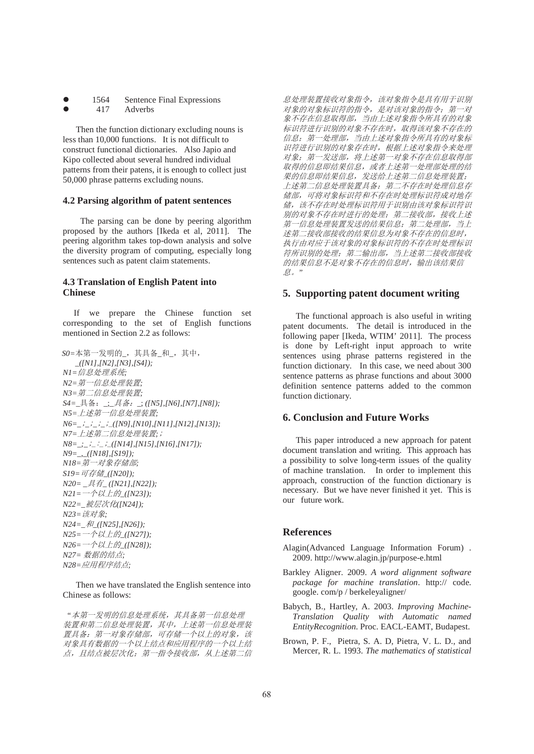- 1564 Sentence Final Expressions
	- 417 Adverbs

Then the function dictionary excluding nouns is less than 10,000 functions. It is not difficult to construct functional dictionaries. Also Japio and Kipo collected about several hundred individual patterns from their patens, it is enough to collect just 50,000 phrase patterns excluding nouns.

### **4.2 Parsing algorithm of patent sentences**

The parsing can be done by peering algorithm proposed by the authors [Ikeda et al, 2011]. The peering algorithm takes top-down analysis and solve the diversity program of computing, especially long sentences such as patent claim statements.

# **4.3 Translation of English Patent into Chinese**

 If we prepare the Chinese function set corresponding to the set of English functions mentioned in Section 2.2 as follows:

 $SO = \pm \frac{2\pi}{N} - \frac{1}{N}$ 人明的\_, 其具备\_和\_, 其中, \_*([N1],[N2],[N3],[S4]); N1=*ؑ༴⨶㌫㔏*; N2=第一信息处理装置*; *N3=第二信息处理装置*; *S4*=\_具备: \_;\_*具备:* \_;([N5],[N6],[N7],[N8]); *N5=上述第一信息处理装置*; *N6=\_\_\_\_*B*([N9],[N10],[N11],[N12],[N13]); N7=上述第二信息处理装置;; N8*=\_;\_;\_;\_;\_*([N14],[N15],[N16],[N17]); N9=\_,\_([N18],[S19]); N18=第一对象存储部*;  $S19 = \overrightarrow{\nabla} \overrightarrow{\mathcal{F}}$  ( $\overrightarrow{\mathcal{F}}$  ([N20]); *N20*=  $I$ *具有*<sub>*\_</sub></sup> ([N21],[N22]);*</sub> *N21*=一个以上的\_([N23]); *N22=\_*㻛ቲ⅑ॆ*([N24]); N23=*䈕ሩ䊑*; N24=\_*઼*\_([N25],[N26]); N25*=一个以上的 ([N27]); *N26*=一个以上的 ([N28]); *N27=* ᮠᦞⲴ㔃⛩*; N28=应用程序结点*;

Then we have translated the English sentence into Chinese as follows:

"本第一发明的信息处理系统,其具备第一信息处理 装置和第二信息处理装置,其中,上述第一信息处理装 置具备: 第一对象存储部, 可存储一个以上的对象, 该 对象具有数据的一个以上结点和应用程序的一个以上结 点, 且结点被层次化: 第一指令接收部, 从上述第二信

息处理装置接收对象指令,该对象指令是具有用于识别 对象的对象标识符的指令, 是对该对象的指令; 第一对 象不存在信息取得部,当由上述对象指令所具有的对象 标识符进行识别的对象不存在时, 取得该对象不存在的 信息: 第一处理部, 当由上述对象指令所具有的对象标 识符进行识别的对象存在时,根据上述对象指令来处理 对象;第一发送部,将上述第一对象不存在信息取得部 取得的信息即结果信息,或者上述第一处理部处理的结 果的信息即结果信息,发送给上述第二信息处理装置; 上述第二信息处理装置具备:第二不存在时处理信息存 储部,可将对象标识符和不存在时处理标识符成对地存 储,该不存在时处理标识符用于识别由该对象标识符识 别的对象不存在时进行的处理; 第二接收部, 接收上述 第一信息处理装置发送的结果信息;第二处理部,当上 述第二接收部接收的结果信息为对象不存在的信息时, 执行由对应于该对象的对象标识符的不存在时处理标识 符所识别的处理; 第二输出部, 当上述第二接收部接收 的结果信息不是对象不存在的信息时,输出该结果信 DŽ*"* 

### **5. Supporting patent document writing**

The functional approach is also useful in writing patent documents. The detail is introduced in the following paper [Ikeda, WTIM' 2011]. The process is done by Left-right input approach to write sentences using phrase patterns registered in the function dictionary. In this case, we need about 300 sentence patterns as phrase functions and about 3000 definition sentence patterns added to the common function dictionary.

# **6. Conclusion and Future Works**

This paper introduced a new approach for patent document translation and writing. This approach has a possibility to solve long-term issues of the quality of machine translation. In order to implement this approach, construction of the function dictionary is necessary. But we have never finished it yet. This is our future work.

# **References**

- Alagin(Advanced Language Information Forum) . 2009. http://www.alagin.jp/purpose-e.html
- Barkley Aligner. 2009. *A word alignment software package for machine translation*. http:// code. google. com/p / berkeleyaligner/
- Babych, B., Hartley, A. 2003. *Improving Machine-Translation Quality with Automatic named EntityRecognition*. Proc. EACL-EAMT, Budapest.
- Brown, P. F., Pietra, S. A. D, Pietra, V. L. D., and Mercer, R. L. 1993. *The mathematics of statistical*